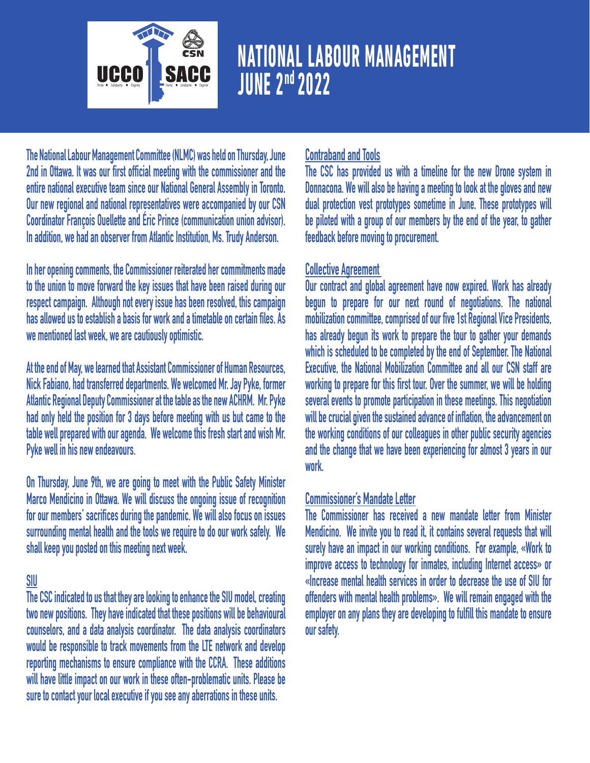

# **NATIONAL LABOUR MANAGEMENT**

**The National Labour Management Committee (NLMC) was held on Thursday, June 2nd in Ottawa. It was our first official meeting with the commissioner and the entire national executive team since our National General Assembly in Toronto. Our new regional and national representatives were accompanied by our CSN Coordinator François Ouellette and Éric Prince (communication union advisor). In addition, we had an observer from Atlantic Institution, Ms. Trudy Anderson.** 

**In her opening comments, the Commissioner reiterated her commitments made to the union to move forward the key issues that have been raised during our respect campaign. Although not every issue has been resolved, this campaign has allowed us to establish a basis for work and a timetable on certain files. As we mentioned last week, we are cautiously optimistic.** 

**At the end of May, we learned that Assistant Commissioner of Human Resources, Nick Fabiano, had transferred departments. We welcomed Mr. Jay Pyke, former Atlantic Regional Deputy Commissioner at the table as the new ACHRM. Mr. Pyke had only held the position for 3 days before meeting with us but came to the table well prepared with our agenda. We welcome this fresh start and wish Mr. Pyke well in his new endeavours.** 

**On Thursday, June 9th, we are going to meet with the Public Safety Minister Marco Mendicino in Ottawa. We will discuss the ongoing issue of recognition for our members' sacrifices during the pandemic. We will also focus on issues surrounding mental health and the tools we require to do our work safely. We shall keep you posted on this meeting next week.** 

#### **SIU**

**The CSC indicated to us that they are looking to enhance the SIU model, creating two new positions. They have indicated that these positions will be behavioural counselors, and a data analysis coordinator. The data analysis coordinators would be responsible to track movements from the LTE network and develop reporting mechanisms to ensure compliance with the CCRA. These additions will have little impact on our work in these often-problematic units. Please be sure to contact your local executive if you see any aberrations in these units.** 

#### **Contraband and Tools**

**The CSC has provided us with a timeline for the new Drone system in Donnacona. We will also be having a meeting to look at the gloves and new dual protection vest prototypes sometime in June. These prototypes will be piloted with a group of our members by the end of the year, to gather feedback before moving to procurement.** 

#### **Collective Agreement**

**Our contract and global agreement have now expired. Work has already begun to prepare for our next round of negotiations. The national mobilization committee, comprised of our five 1st Regional Vice Presidents, has already begun its work to prepare the tour to gather your demands which is scheduled to be completed by the end of September. The National Executive, the National Mobilization Committee and all our CSN staff are working to prepare for this first tour. Over the summer, we will be holding several events to promote participation in these meetings. This negotiation will be crucial given the sustained advance of inflation, the advancement on the working conditions of our colleagues in other public security agencies and the change that we have been experiencing for almost 3 years in our work.** 

#### **Commissioner's Mandate Letter**

**The Commissioner has received a new mandate letter from Minister Mendicino. We invite you to read it, it contains several requests that will surely have an impact in our working conditions. For example, «Work to improve access to technology for inmates, including Internet access» or «Increase mental health services in order to decrease the use of SIU for offenders with mental health problems». We will remain engaged with the employer on any plans they are developing to fulfill this mandate to ensure our safety.**